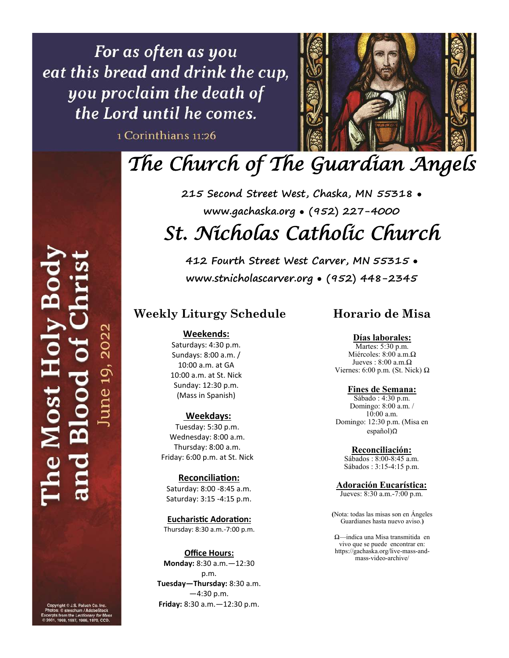For as often as you eat this bread and drink the cup, you proclaim the death of the Lord until he comes.

1 Corinthians 11:26



# *The Church of The Guardian Angels*

**215 Second Street West, Chaska, MN 55318** • **www.gachaska.org** • **(952) 227-4000**  *St. Nicholas Catholic Church* 

**412 Fourth Street West Carver, MN 55315** • **www.stnicholascarver.org** • **(952) 448-2345**

### **Weekly Liturgy Schedule**

### **Weekends:**

Saturdays: 4:30 p.m. Sundays: 8:00 a.m. / 10:00 a.m. at GA 10:00 a.m. at St. Nick Sunday: 12:30 p.m. (Mass in Spanish)

### **Weekdays:**

Tuesday: 5:30 p.m. Wednesday: 8:00 a.m. Thursday: 8:00 a.m. Friday: 6:00 p.m. at St. Nick

### **Reconciliation:**

Saturday: 8:00 -8:45 a.m. Saturday: 3:15 -4:15 p.m.

**Eucharistic Adoration:** Thursday: 8:30 a.m.-7:00 p.m.

### **Office Hours:**

**Monday:** 8:30 a.m.—12:30 p.m. **Tuesday—Thursday:** 8:30 a.m.  $-4:30$  p.m. **Friday:** 8:30 a.m.—12:30 p.m.

### **Horario de Misa**

**Días laborales:** Martes: 5:30 p.m. Miércoles: 8:00 a.m.Ω

Jueves :  $8:00$  a.m. $\Omega$ Viernes: 6:00 p.m. (St. Nick) Ω

### **Fines de Semana:**

Sábado : 4:30 p.m. Domingo: 8:00 a.m. / 10:00 a.m. Domingo: 12:30 p.m. (Misa en español)Ω

**Reconciliación:**

Sábados : 8:00-8:45 a.m. Sábados : 3:15-4:15 p.m.

### **Adoración Eucarística:**

Jueves: 8:30 a.m.-7:00 p.m.

**(**Nota: todas las misas son en Ángeles Guardianes hasta nuevo aviso.**)** 

Ω—indica una Misa transmitida en vivo que se puede encontrar en: https://gachaska.org/live-mass-andmass-video-archive/

ne 19

 $\overline{0}$ st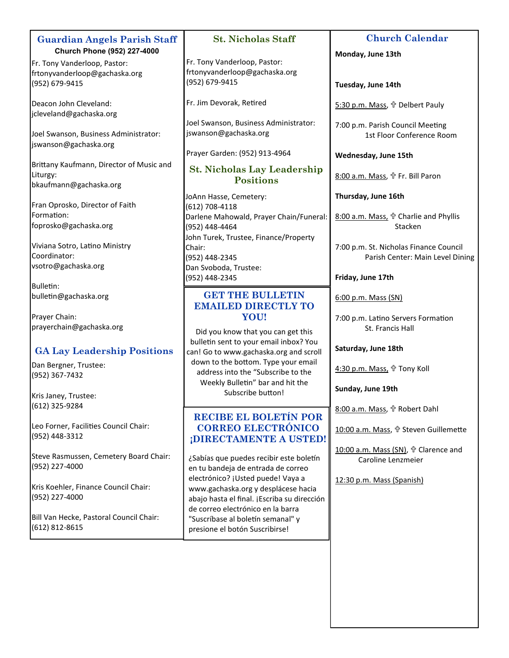| <b>Guardian Angels Parish Staff</b>                      | <b>St. Nicholas Staff</b>                                                          | <b>Church Calendar</b>                                 |
|----------------------------------------------------------|------------------------------------------------------------------------------------|--------------------------------------------------------|
| Church Phone (952) 227-4000                              |                                                                                    | Monday, June 13th                                      |
| Fr. Tony Vanderloop, Pastor:                             | Fr. Tony Vanderloop, Pastor:<br>frtonyvanderloop@gachaska.org                      |                                                        |
| frtonyvanderloop@gachaska.org                            | (952) 679-9415                                                                     |                                                        |
| (952) 679-9415                                           |                                                                                    | Tuesday, June 14th                                     |
| Deacon John Cleveland:                                   | Fr. Jim Devorak, Retired                                                           | 5:30 p.m. Mass, t Delbert Pauly                        |
| jcleveland@gachaska.org                                  |                                                                                    |                                                        |
|                                                          | Joel Swanson, Business Administrator:                                              | 7:00 p.m. Parish Council Meeting                       |
| Joel Swanson, Business Administrator:                    | jswanson@gachaska.org                                                              | 1st Floor Conference Room                              |
| jswanson@gachaska.org                                    |                                                                                    |                                                        |
|                                                          | Prayer Garden: (952) 913-4964                                                      | Wednesday, June 15th                                   |
| Brittany Kaufmann, Director of Music and                 | <b>St. Nicholas Lay Leadership</b>                                                 |                                                        |
| Liturgy:                                                 | <b>Positions</b>                                                                   | 8:00 a.m. Mass, f Fr. Bill Paron                       |
| bkaufmann@gachaska.org                                   |                                                                                    |                                                        |
|                                                          | JoAnn Hasse, Cemetery:                                                             | Thursday, June 16th                                    |
| Fran Oprosko, Director of Faith                          | (612) 708-4118                                                                     |                                                        |
| Formation:                                               | Darlene Mahowald, Prayer Chain/Funeral:                                            | 8:00 a.m. Mass, + Charlie and Phyllis                  |
| foprosko@gachaska.org                                    | (952) 448-4464                                                                     | Stacken                                                |
|                                                          | John Turek, Trustee, Finance/Property                                              |                                                        |
| Viviana Sotro, Latino Ministry<br>Coordinator:           | Chair:                                                                             | 7:00 p.m. St. Nicholas Finance Council                 |
| vsotro@gachaska.org                                      | (952) 448-2345                                                                     | Parish Center: Main Level Dining                       |
|                                                          | Dan Svoboda, Trustee:                                                              | Friday, June 17th                                      |
| <b>Bulletin:</b>                                         | (952) 448-2345                                                                     |                                                        |
|                                                          |                                                                                    |                                                        |
|                                                          | <b>GET THE BULLETIN</b>                                                            |                                                        |
| bulletin@gachaska.org                                    | <b>EMAILED DIRECTLY TO</b>                                                         | 6:00 p.m. Mass (SN)                                    |
| Prayer Chain:                                            | YOU!                                                                               |                                                        |
| prayerchain@gachaska.org                                 |                                                                                    | 7:00 p.m. Latino Servers Formation<br>St. Francis Hall |
|                                                          | Did you know that you can get this                                                 |                                                        |
|                                                          | bulletin sent to your email inbox? You                                             | Saturday, June 18th                                    |
| <b>GA Lay Leadership Positions</b>                       | can! Go to www.gachaska.org and scroll                                             |                                                        |
| Dan Bergner, Trustee:                                    | down to the bottom. Type your email                                                | 4:30 p.m. Mass, + Tony Koll                            |
| (952) 367-7432                                           | address into the "Subscribe to the                                                 |                                                        |
|                                                          | Weekly Bulletin" bar and hit the                                                   | Sunday, June 19th                                      |
| Kris Janey, Trustee:                                     | Subscribe button!                                                                  |                                                        |
| (612) 325-9284                                           |                                                                                    | 8:00 a.m. Mass, <sup>+</sup> Robert Dahl               |
|                                                          | <b>RECIBE EL BOLETÍN POR</b>                                                       |                                                        |
| Leo Forner, Facilities Council Chair:                    | <b>CORREO ELECTRÓNICO</b>                                                          | 10:00 a.m. Mass, f Steven Guillemette                  |
| (952) 448-3312                                           | ¡DIRECTAMENTE A USTED!                                                             |                                                        |
|                                                          |                                                                                    | 10:00 a.m. Mass (SN), t Clarence and                   |
| Steve Rasmussen, Cemetery Board Chair:<br>(952) 227-4000 | ¿Sabías que puedes recibir este boletín                                            | Caroline Lenzmeier                                     |
|                                                          | en tu bandeja de entrada de correo                                                 |                                                        |
| Kris Koehler, Finance Council Chair:                     | electrónico? ¡Usted puede! Vaya a                                                  | 12:30 p.m. Mass (Spanish)                              |
| (952) 227-4000                                           | www.gachaska.org y desplácese hacia<br>abajo hasta el final. ¡Escriba su dirección |                                                        |
|                                                          | de correo electrónico en la barra                                                  |                                                        |
| Bill Van Hecke, Pastoral Council Chair:                  | "Suscríbase al boletín semanal" y                                                  |                                                        |
| (612) 812-8615                                           | presione el botón Suscribirse!                                                     |                                                        |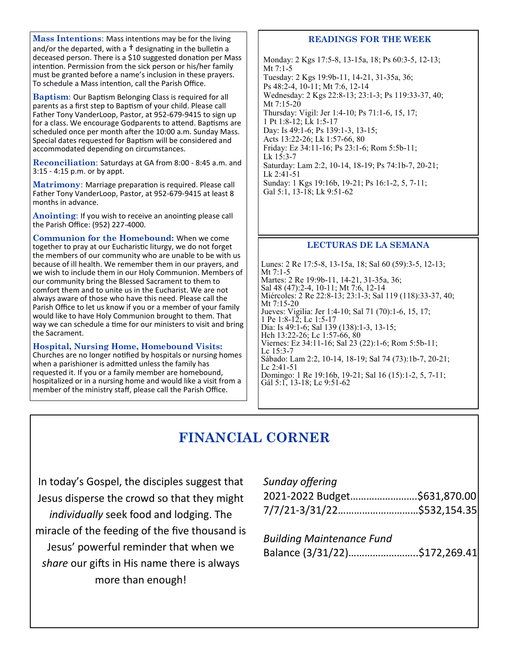**Mass Intentions**: Mass intentions may be for the living and/or the departed, with a  $\dagger$  designating in the bulletin a deceased person. There is a \$10 suggested donation per Mass intention. Permission from the sick person or his/her family must be granted before a name's inclusion in these prayers. To schedule a Mass intention, call the Parish Office.

**Baptism**: Our Baptism Belonging Class is required for all parents as a first step to Baptism of your child. Please call Father Tony VanderLoop, Pastor, at 952-679-9415 to sign up for a class. We encourage Godparents to attend. Baptisms are scheduled once per month after the 10:00 a.m. Sunday Mass. Special dates requested for Baptism will be considered and accommodated depending on circumstances.

**Reconciliation**: Saturdays at GA from 8:00 - 8:45 a.m. and 3:15 - 4:15 p.m. or by appt.

**Matrimony**: Marriage preparation is required. Please call Father Tony VanderLoop, Pastor, at 952-679-9415 at least 8 months in advance.

**Anointing**: If you wish to receive an anointing please call the Parish Office: (952) 227-4000.

**Communion for the Homebound:** When we come together to pray at our Eucharistic liturgy, we do not forget the members of our community who are unable to be with us because of ill health. We remember them in our prayers, and we wish to include them in our Holy Communion. Members of our community bring the Blessed Sacrament to them to comfort them and to unite us in the Eucharist. We are not always aware of those who have this need. Please call the Parish Office to let us know if you or a member of your family would like to have Holy Communion brought to them. That way we can schedule a time for our ministers to visit and bring the Sacrament.

**Hospital, Nursing Home, Homebound Visits:**  Churches are no longer notified by hospitals or nursing homes when a parishioner is admitted unless the family has requested it. If you or a family member are homebound, hospitalized or in a nursing home and would like a visit from a member of the ministry staff, please call the Parish Office.

### **READINGS FOR THE WEEK**

Monday: 2 Kgs 17:5-8, 13-15a, 18; Ps 60:3-5, 12-13; Mt 7:1-5 Tuesday: 2 Kgs 19:9b-11, 14-21, 31-35a, 36; Ps 48:2-4, 10-11; Mt 7:6, 12-14 Wednesday: 2 Kgs 22:8-13; 23:1-3; Ps 119:33-37, 40; Mt 7:15-20 Thursday: Vigil: Jer 1:4-10; Ps 71:1-6, 15, 17; 1 Pt 1:8-12; Lk 1:5-17 Day: Is 49:1-6; Ps 139:1-3, 13-15; Acts 13:22-26; Lk 1:57-66, 80 Friday: Ez 34:11-16; Ps 23:1-6; Rom 5:5b-11; Lk 15:3-7 Saturday: Lam 2:2, 10-14, 18-19; Ps 74:1b-7, 20-21; Lk 2:41-51 Sunday: 1 Kgs 19:16b, 19-21; Ps 16:1-2, 5, 7-11; Gal 5:1, 13-18; Lk 9:51-62

### **LECTURAS DE LA SEMANA**

Lunes: 2 Re 17:5-8, 13-15a, 18; Sal 60 (59):3-5, 12-13; Mt 7:1-5 Martes: 2 Re 19:9b-11, 14-21, 31-35a, 36; Sal 48 (47):2-4, 10-11; Mt 7:6, 12-14 Miércoles: 2 Re 22:8-13; 23:1-3; Sal 119 (118):33-37, 40; Mt 7:15-20 Jueves: Vigilia: Jer 1:4-10; Sal 71 (70):1-6, 15, 17; 1 Pe 1:8-12; Lc 1:5-17 Día: Is 49:1-6; Sal 139 (138):1-3, 13-15; Hch 13:22-26; Lc 1:57-66, 80 Viernes: Ez 34:11-16; Sal 23 (22):1-6; Rom 5:5b-11; Lc 15:3-7 Sábado: Lam 2:2, 10-14, 18-19; Sal 74 (73):1b-7, 20-21; Lc 2:41-51 Domingo: 1 Re 19:16b, 19-21; Sal 16 (15):1-2, 5, 7-11; Gál 5:1, 13-18; Lc 9:51-62

# **FINANCIAL CORNER**

In today's Gospel, the disciples suggest that Jesus disperse the crowd so that they might *individually* seek food and lodging. The miracle of the feeding of the five thousand is Jesus' powerful reminder that when we *share* our gifts in His name there is always more than enough!

| Sunday offering              |  |
|------------------------------|--|
| 2021-2022 Budget\$631,870.00 |  |
| 7/7/21-3/31/22\$532,154.35   |  |

*Building Maintenance Fund* Balance (3/31/22)……………………..\$172,269.41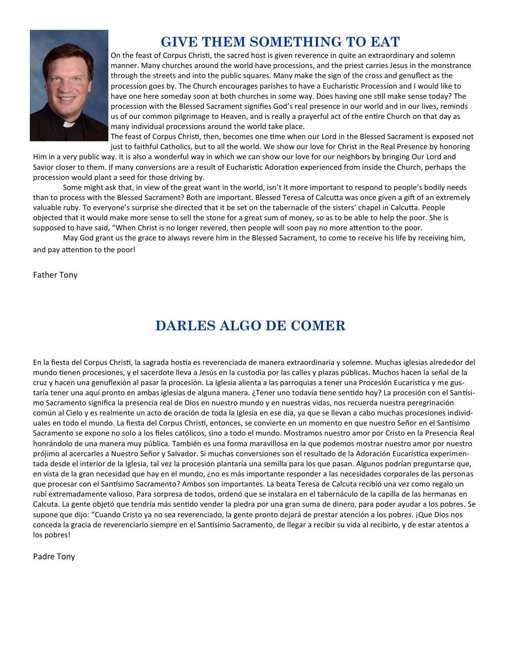

# **GIVE THEM SOMETHING TO EAT**

On the feast of Corpus Christi, the sacred host is given reverence in quite an extraordinary and solemn manner. Many churches around the world have processions, and the priest carries Jesus in the monstrance through the streets and into the public squares. Many make the sign of the cross and genuflect as the procession goes by. The Church encourages parishes to have a Eucharistic Procession and I would like to have one here someday soon at both churches in some way. Does having one still make sense today? The procession with the Blessed Sacrament signifies God's real presence in our world and in our lives, reminds us of our common pilgrimage to Heaven, and is really a prayerful act of the entire Church on that day as many individual processions around the world take place.

The feast of Corpus Christi, then, becomes one time when our Lord in the Blessed Sacrament is exposed not just to faithful Catholics, but to all the world. We show our love for Christ in the Real Presence by honoring

Him in a very public way. It is also a wonderful way in which we can show our love for our neighbors by bringing Our Lord and Savior closer to them. If many conversions are a result of Eucharistic Adoration experienced from inside the Church, perhaps the procession would plant a seed for those driving by.

Some might ask that, in view of the great want in the world, isn't it more important to respond to people's bodily needs than to process with the Blessed Sacrament? Both are important. Blessed Teresa of Calcutta was once given a gift of an extremely valuable ruby. To everyone's surprise she directed that it be set on the tabernacle of the sisters' chapel in Calcutta. People objected that it would make more sense to sell the stone for a great sum of money, so as to be able to help the poor. She is supposed to have said, "When Christ is no longer revered, then people will soon pay no more attention to the poor.

May God grant us the grace to always revere him in the Blessed Sacrament, to come to receive his life by receiving him, and pay attention to the poor!

Father Tony

# **DARLES ALGO DE COMER**

En la fiesta del Corpus Christi, la sagrada hostia es reverenciada de manera extraordinaria y solemne. Muchas iglesias alrededor del mundo tienen procesiones, y el sacerdote lleva a Jesús en la custodia por las calles y plazas públicas. Muchos hacen la señal de la cruz y hacen una genuflexión al pasar la procesión. La Iglesia alienta a las parroquias a tener una Procesión Eucarística y me gustaría tener una aquí pronto en ambas iglesias de alguna manera. ¿Tener uno todavía tiene sentido hoy? La procesión con el Santísimo Sacramento significa la presencia real de Dios en nuestro mundo y en nuestras vidas, nos recuerda nuestra peregrinación común al Cielo y es realmente un acto de oración de toda la Iglesia en ese día, ya que se llevan a cabo muchas procesiones individuales en todo el mundo. La fiesta del Corpus Christi, entonces, se convierte en un momento en que nuestro Señor en el Santísimo Sacramento se expone no solo a los fieles católicos, sino a todo el mundo. Mostramos nuestro amor por Cristo en la Presencia Real honrándolo de una manera muy pública. También es una forma maravillosa en la que podemos mostrar nuestro amor por nuestro prójimo al acercarles a Nuestro Señor y Salvador. Si muchas conversiones son el resultado de la Adoración Eucarística experimentada desde el interior de la Iglesia, tal vez la procesión plantaría una semilla para los que pasan. Algunos podrían preguntarse que, en vista de la gran necesidad que hay en el mundo, ¿no es más importante responder a las necesidades corporales de las personas que procesar con el Santísimo Sacramento? Ambos son importantes. La beata Teresa de Calcuta recibió una vez como regalo un rubí extremadamente valioso. Para sorpresa de todos, ordenó que se instalara en el tabernáculo de la capilla de las hermanas en Calcuta. La gente objetó que tendría más sentido vender la piedra por una gran suma de dinero, para poder ayudar a los pobres. Se supone que dijo: "Cuando Cristo ya no sea reverenciado, la gente pronto dejará de prestar atención a los pobres. ¡Que Dios nos conceda la gracia de reverenciarlo siempre en el Santísimo Sacramento, de llegar a recibir su vida al recibirlo, y de estar atentos a los pobres!

Padre Tony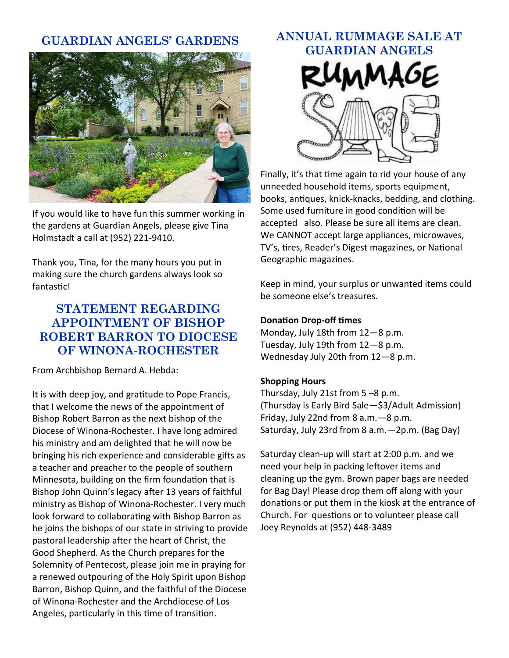# **GUARDIAN ANGELS' GARDENS**



If you would like to have fun this summer working in the gardens at Guardian Angels, please give Tina Holmstadt a call at (952) 221-9410.

Thank you, Tina, for the many hours you put in making sure the church gardens always look so fantastic!

# **STATEMENT REGARDING APPOINTMENT OF BISHOP ROBERT BARRON TO DIOCESE OF WINONA-ROCHESTER**

From Archbishop Bernard A. Hebda:

It is with deep joy, and gratitude to Pope Francis, that I welcome the news of the appointment of Bishop Robert Barron as the next bishop of the Diocese of Winona-Rochester. I have long admired his ministry and am delighted that he will now be bringing his rich experience and considerable gifts as a teacher and preacher to the people of southern Minnesota, building on the firm foundation that is Bishop John Quinn's legacy after 13 years of faithful ministry as Bishop of Winona-Rochester. I very much look forward to collaborating with Bishop Barron as he joins the bishops of our state in striving to provide pastoral leadership after the heart of Christ, the Good Shepherd. As the Church prepares for the Solemnity of Pentecost, please join me in praying for a renewed outpouring of the Holy Spirit upon Bishop Barron, Bishop Quinn, and the faithful of the Diocese of Winona-Rochester and the Archdiocese of Los Angeles, particularly in this time of transition.

# **ANNUAL RUMMAGE SALE AT GUARDIAN ANGELS**

Finally, it's that time again to rid your house of any unneeded household items, sports equipment, books, antiques, knick-knacks, bedding, and clothing. Some used furniture in good condition will be accepted also. Please be sure all items are clean. We CANNOT accept large appliances, microwaves, TV's, tires, Reader's Digest magazines, or National Geographic magazines.

Keep in mind, your surplus or unwanted items could be someone else's treasures.

### **Donation Drop-off times**

Monday, July 18th from 12—8 p.m. Tuesday, July 19th from 12—8 p.m. Wednesday July 20th from 12—8 p.m.

### **Shopping Hours**

Thursday, July 21st from 5 –8 p.m. (Thursday is Early Bird Sale—\$3/Adult Admission) Friday, July 22nd from 8 a.m.—8 p.m. Saturday, July 23rd from 8 a.m.—2p.m. (Bag Day)

Saturday clean-up will start at 2:00 p.m. and we need your help in packing leftover items and cleaning up the gym. Brown paper bags are needed for Bag Day! Please drop them off along with your donations or put them in the kiosk at the entrance of Church. For questions or to volunteer please call Joey Reynolds at (952) 448-3489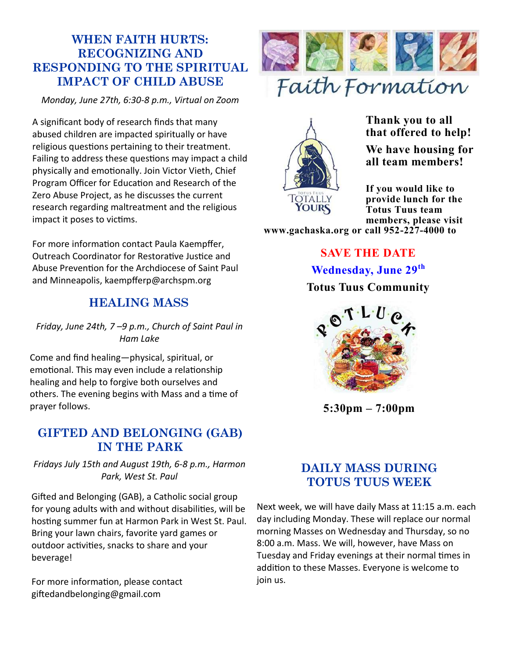# **WHEN FAITH HURTS: RECOGNIZING AND RESPONDING TO THE SPIRITUAL IMPACT OF CHILD ABUSE**

*Monday, June 27th, 6:30-8 p.m., Virtual on Zoom*

A significant body of research finds that many abused children are impacted spiritually or have religious questions pertaining to their treatment. Failing to address these questions may impact a child physically and emotionally. Join Victor Vieth, Chief Program Officer for Education and Research of the Zero Abuse Project, as he discusses the current research regarding maltreatment and the religious impact it poses to victims.

For more information contact Paula Kaempffer, Outreach Coordinator for Restorative Justice and Abuse Prevention for the Archdiocese of Saint Paul and Minneapolis, kaempfferp@archspm.org

# **HEALING MASS**

*Friday, June 24th, 7 –9 p.m., Church of Saint Paul in Ham Lake*

Come and find healing—physical, spiritual, or emotional. This may even include a relationship healing and help to forgive both ourselves and others. The evening begins with Mass and a time of prayer follows.

# **GIFTED AND BELONGING (GAB) IN THE PARK**

*Fridays July 15th and August 19th, 6-8 p.m., Harmon Park, West St. Paul*

Gifted and Belonging (GAB), a Catholic social group for young adults with and without disabilities, will be hosting summer fun at Harmon Park in West St. Paul. Bring your lawn chairs, favorite yard games or outdoor activities, snacks to share and your beverage!

For more information, please contact giftedandbelonging@gmail.com





**Thank you to all that offered to help!**

**We have housing for all team members!**

**If you would like to provide lunch for the Totus Tuus team members, please visit** 

**www.gachaska.org or call 952-227-4000 to** 

**SAVE THE DATE Wednesday, June 29th Totus Tuus Community**



**5:30pm – 7:00pm**

# **DAILY MASS DURING TOTUS TUUS WEEK**

Next week, we will have daily Mass at 11:15 a.m. each day including Monday. These will replace our normal morning Masses on Wednesday and Thursday, so no 8:00 a.m. Mass. We will, however, have Mass on Tuesday and Friday evenings at their normal times in addition to these Masses. Everyone is welcome to join us.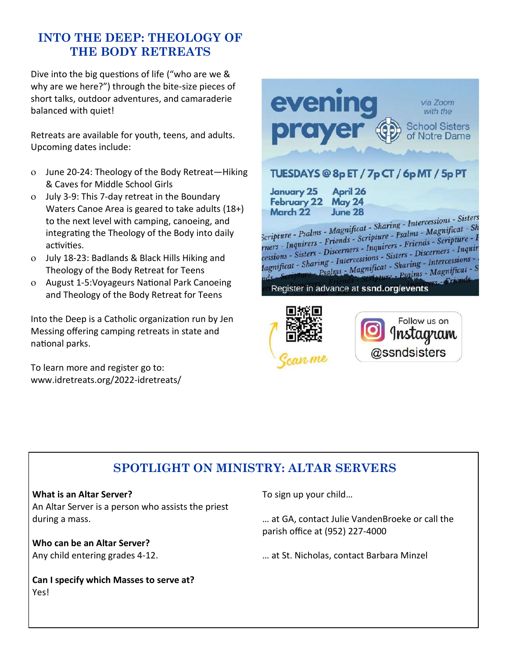# **INTO THE DEEP: THEOLOGY OF THE BODY RETREATS**

Dive into the big questions of life ("who are we & why are we here?") through the bite-size pieces of short talks, outdoor adventures, and camaraderie balanced with quiet!

Retreats are available for youth, teens, and adults. Upcoming dates include:

- June 20-24: Theology of the Body Retreat—Hiking & Caves for Middle School Girls
- July 3-9: This 7-day retreat in the Boundary Waters Canoe Area is geared to take adults (18+) to the next level with camping, canoeing, and integrating the Theology of the Body into daily activities.
- July 18-23: Badlands & Black Hills Hiking and Theology of the Body Retreat for Teens
- August 1-5:Voyageurs National Park Canoeing and Theology of the Body Retreat for Teens

Into the Deep is a Catholic organization run by Jen Messing offering camping retreats in state and national parks.

To learn more and register go to: www.idretreats.org/2022-idretreats/



# **SPOTLIGHT ON MINISTRY: ALTAR SERVERS**

### **What is an Altar Server?**

An Altar Server is a person who assists the priest during a mass.

**Who can be an Altar Server?** Any child entering grades 4-12.

**Can I specify which Masses to serve at?** Yes!

To sign up your child…

… at GA, contact Julie VandenBroeke or call the parish office at (952) 227-4000

… at St. Nicholas, contact Barbara Minzel